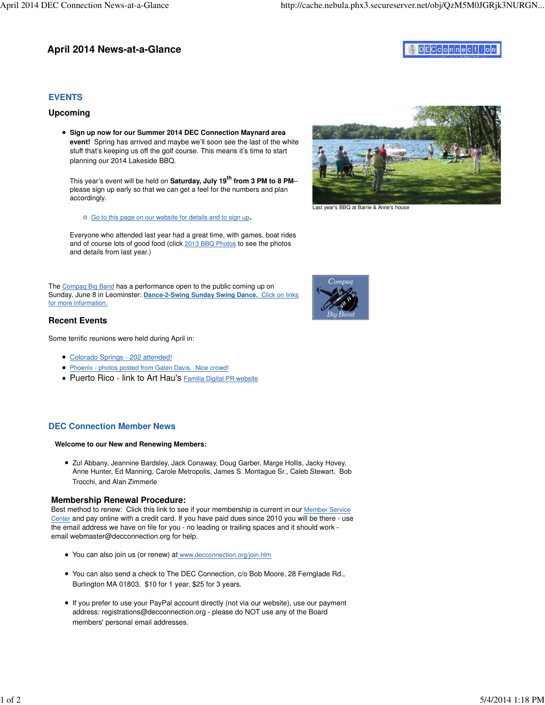# **April 2014 News-at-a-Glance**

# $D$ E $C$  $C$  $D$  $n$  $n$  $e$  $c$  $t$  $i$  $o$  $n$

### **EVENTS**

### **Upcoming**

**Sign up now for our Summer 2014 DEC Connection Maynard area event!** Spring has arrived and maybe we'll soon see the last of the white stuff that's keeping us off the golf course. This means it's time to start planning our 2014 Lakeside BBQ.

This year's event will be held on **Saturday, July 19th from 3 PM to 8 PM**– please sign up early so that we can get a feel for the numbers and plan accordingly.

Go to this page on our website for details and to sign up.

Everyone who attended last year had a great time, with games, boat rides and of course lots of good food (click 2013 BBQ Photos to see the photos and details from last year.)

The Compaq Big Band has a performance open to the public coming up on Sunday, June 8 in Leominster: **Dance-2-Swing Sunday Swing Dance.** Click on links for more information.

### **Recent Events**

Some terrific reunions were held during April in:

- Colorado Springs 202 attended!
- Phoenix photos posted from Galen Davis. Nice crowd!
- Puerto Rico link to Art Hau's Familia Digital PR website

## **DEC Connection Member News**

#### **Welcome to our New and Renewing Members:**

• Zul Abbany, Jeannine Bardsley, Jack Conaway, Doug Garber, Marge Hollis, Jacky Hovey, Anne Hunter, Ed Manning, Carole Metropolis, James S. Montague Sr., Caleb Stewart, Bob Trocchi, and Alan Zimmerle

### **Membership Renewal Procedure:**

Best method to renew: Click this link to see if your membership is current in our Member Service Center and pay online with a credit card. If you have paid dues since 2010 you will be there - use the email address we have on file for you - no leading or trailing spaces and it should work email [webmaster@decconnection.org fo](mailto:webmaster@decconnection.org)r help.

- You can also join us (or renew) at [www.decconnection.org/join.htm](http://www.decconnection.org/join.htm)
- You can also send a check to The DEC Connection, c/o Bob Moore, 28 Fernglade Rd., Burlington MA 01803. \$10 for 1 year, \$25 for 3 years.
- If you prefer to use your PayPal account directly (not via our website), use our payment address: [registrations@decconnection.org - p](mailto:registrations@decconnection.org)lease do NOT use any of the Board members' personal email addresses.



Last year's BBQ at Barrie & Anne's house